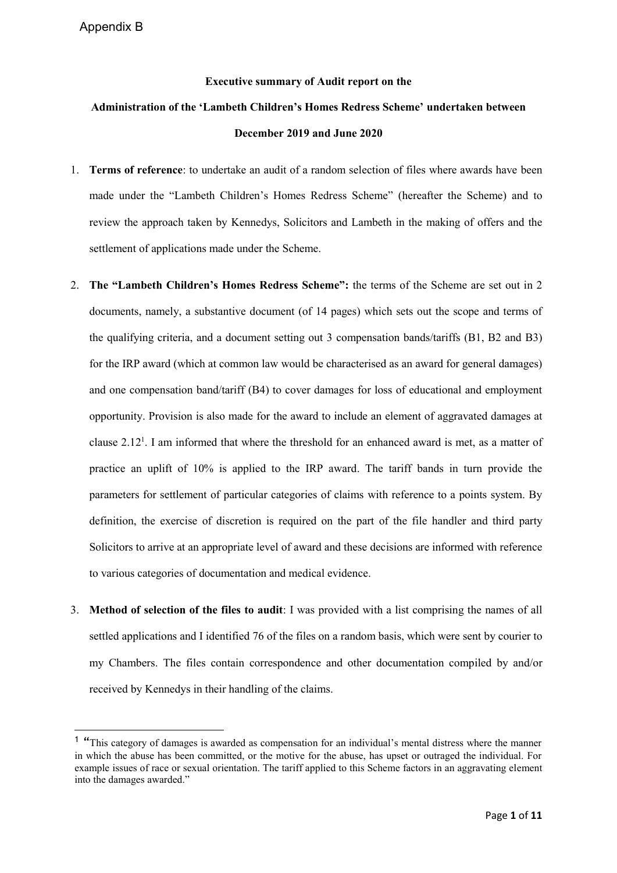**.** 

## **Executive summary of Audit report on the**

## **Administration of the 'Lambeth Children's Homes Redress Scheme' undertaken between December 2019 and June 2020**

- 1. **Terms of reference**: to undertake an audit of a random selection of files where awards have been made under the "Lambeth Children's Homes Redress Scheme" (hereafter the Scheme) and to review the approach taken by Kennedys, Solicitors and Lambeth in the making of offers and the settlement of applications made under the Scheme.
- 2. **The "Lambeth Children's Homes Redress Scheme":** the terms of the Scheme are set out in 2 documents, namely, a substantive document (of 14 pages) which sets out the scope and terms of the qualifying criteria, and a document setting out 3 compensation bands/tariffs (B1, B2 and B3) for the IRP award (which at common law would be characterised as an award for general damages) and one compensation band/tariff (B4) to cover damages for loss of educational and employment opportunity. Provision is also made for the award to include an element of aggravated damages at clause  $2.12<sup>1</sup>$ . I am informed that where the threshold for an enhanced award is met, as a matter of practice an uplift of 10% is applied to the IRP award. The tariff bands in turn provide the parameters for settlement of particular categories of claims with reference to a points system. By definition, the exercise of discretion is required on the part of the file handler and third party Solicitors to arrive at an appropriate level of award and these decisions are informed with reference to various categories of documentation and medical evidence.
- 3. **Method of selection of the files to audit**: I was provided with a list comprising the names of all settled applications and I identified 76 of the files on a random basis, which were sent by courier to my Chambers. The files contain correspondence and other documentation compiled by and/or received by Kennedys in their handling of the claims.

<sup>&</sup>lt;sup>1</sup> "This category of damages is awarded as compensation for an individual's mental distress where the manner in which the abuse has been committed, or the motive for the abuse, has upset or outraged the individual. For example issues of race or sexual orientation. The tariff applied to this Scheme factors in an aggravating element into the damages awarded."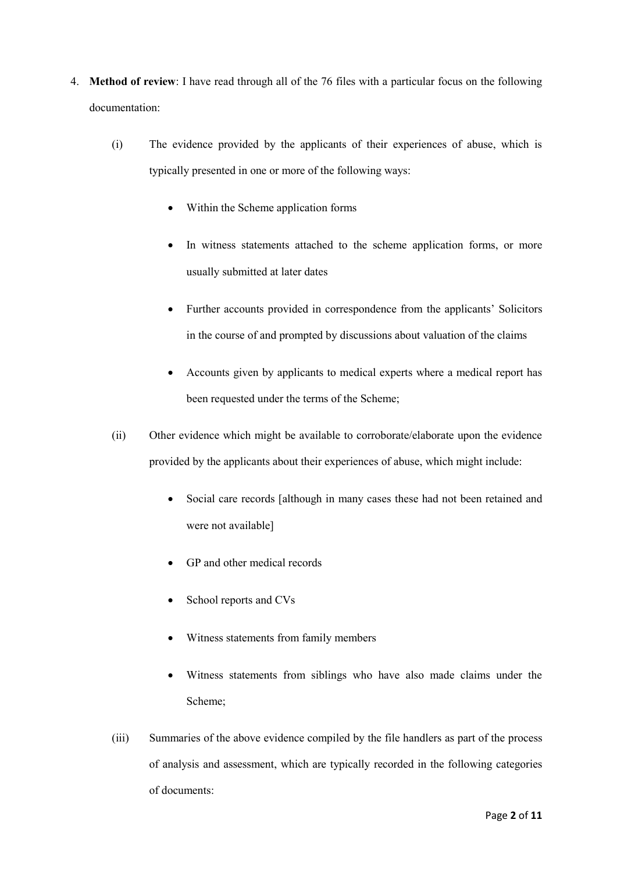- 4. **Method of review**: I have read through all of the 76 files with a particular focus on the following documentation:
	- (i) The evidence provided by the applicants of their experiences of abuse, which is typically presented in one or more of the following ways:
		- Within the Scheme application forms
		- In witness statements attached to the scheme application forms, or more usually submitted at later dates
		- Further accounts provided in correspondence from the applicants' Solicitors in the course of and prompted by discussions about valuation of the claims
		- Accounts given by applicants to medical experts where a medical report has been requested under the terms of the Scheme;
	- (ii) Other evidence which might be available to corroborate/elaborate upon the evidence provided by the applicants about their experiences of abuse, which might include:
		- Social care records [although in many cases these had not been retained and were not available]
		- GP and other medical records
		- School reports and CVs
		- Witness statements from family members
		- Witness statements from siblings who have also made claims under the Scheme;
	- (iii) Summaries of the above evidence compiled by the file handlers as part of the process of analysis and assessment, which are typically recorded in the following categories of documents: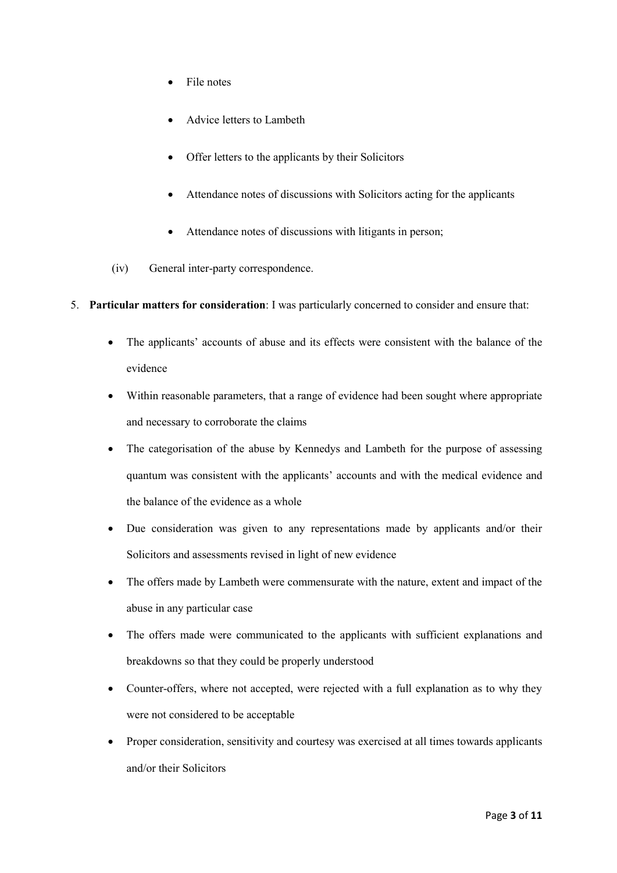- File notes
- Advice letters to Lambeth
- Offer letters to the applicants by their Solicitors
- Attendance notes of discussions with Solicitors acting for the applicants
- Attendance notes of discussions with litigants in person;
- (iv) General inter-party correspondence.
- 5. **Particular matters for consideration**: I was particularly concerned to consider and ensure that:
	- The applicants' accounts of abuse and its effects were consistent with the balance of the evidence
	- Within reasonable parameters, that a range of evidence had been sought where appropriate and necessary to corroborate the claims
	- The categorisation of the abuse by Kennedys and Lambeth for the purpose of assessing quantum was consistent with the applicants' accounts and with the medical evidence and the balance of the evidence as a whole
	- Due consideration was given to any representations made by applicants and/or their Solicitors and assessments revised in light of new evidence
	- The offers made by Lambeth were commensurate with the nature, extent and impact of the abuse in any particular case
	- The offers made were communicated to the applicants with sufficient explanations and breakdowns so that they could be properly understood
	- Counter-offers, where not accepted, were rejected with a full explanation as to why they were not considered to be acceptable
	- Proper consideration, sensitivity and courtesy was exercised at all times towards applicants and/or their Solicitors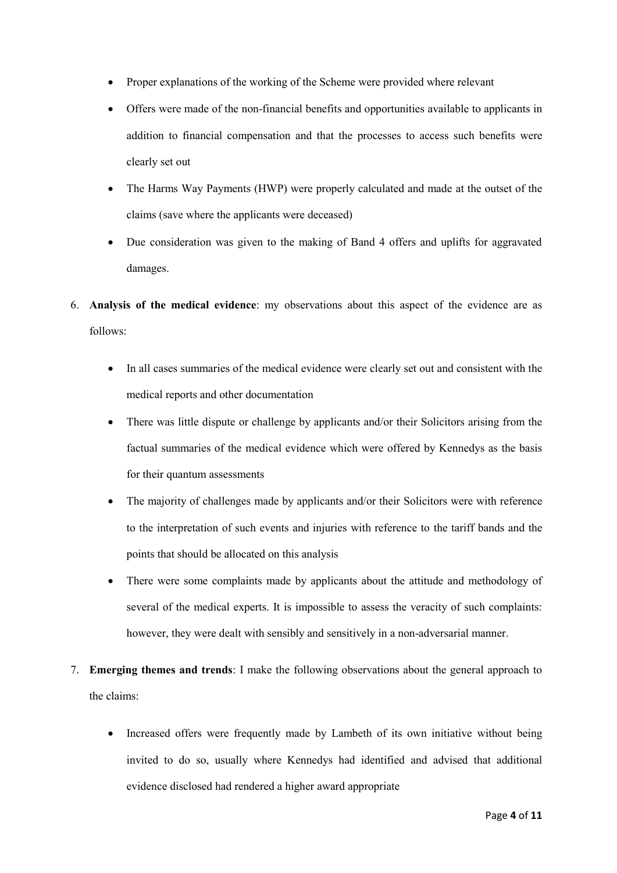- Proper explanations of the working of the Scheme were provided where relevant
- Offers were made of the non-financial benefits and opportunities available to applicants in addition to financial compensation and that the processes to access such benefits were clearly set out
- The Harms Way Payments (HWP) were properly calculated and made at the outset of the claims (save where the applicants were deceased)
- Due consideration was given to the making of Band 4 offers and uplifts for aggravated damages.
- 6. **Analysis of the medical evidence**: my observations about this aspect of the evidence are as follows:
	- In all cases summaries of the medical evidence were clearly set out and consistent with the medical reports and other documentation
	- There was little dispute or challenge by applicants and/or their Solicitors arising from the factual summaries of the medical evidence which were offered by Kennedys as the basis for their quantum assessments
	- The majority of challenges made by applicants and/or their Solicitors were with reference to the interpretation of such events and injuries with reference to the tariff bands and the points that should be allocated on this analysis
	- There were some complaints made by applicants about the attitude and methodology of several of the medical experts. It is impossible to assess the veracity of such complaints: however, they were dealt with sensibly and sensitively in a non-adversarial manner.
- 7. **Emerging themes and trends**: I make the following observations about the general approach to the claims:
	- Increased offers were frequently made by Lambeth of its own initiative without being invited to do so, usually where Kennedys had identified and advised that additional evidence disclosed had rendered a higher award appropriate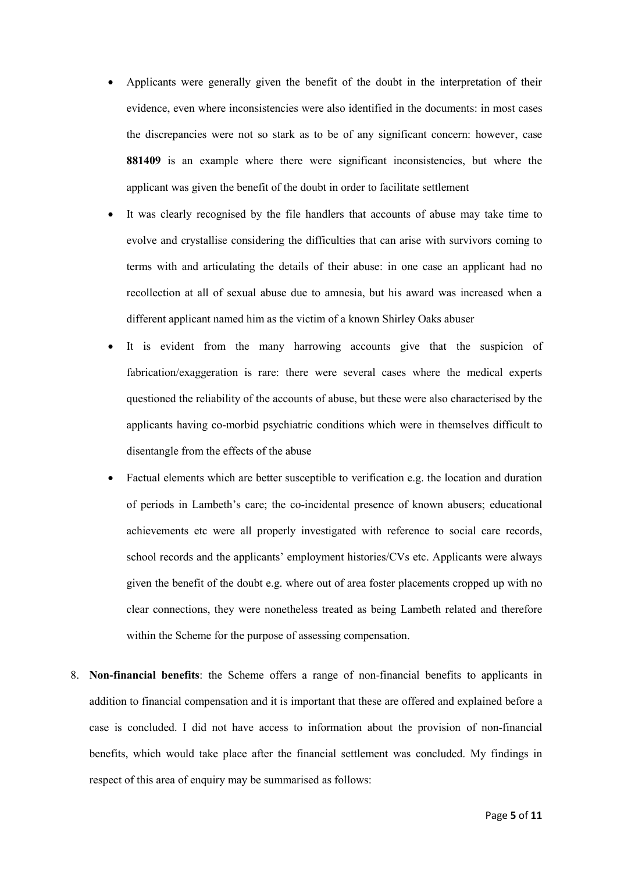- Applicants were generally given the benefit of the doubt in the interpretation of their evidence, even where inconsistencies were also identified in the documents: in most cases the discrepancies were not so stark as to be of any significant concern: however, case **881409** is an example where there were significant inconsistencies, but where the applicant was given the benefit of the doubt in order to facilitate settlement
- It was clearly recognised by the file handlers that accounts of abuse may take time to evolve and crystallise considering the difficulties that can arise with survivors coming to terms with and articulating the details of their abuse: in one case an applicant had no recollection at all of sexual abuse due to amnesia, but his award was increased when a different applicant named him as the victim of a known Shirley Oaks abuser
- It is evident from the many harrowing accounts give that the suspicion of fabrication/exaggeration is rare: there were several cases where the medical experts questioned the reliability of the accounts of abuse, but these were also characterised by the applicants having co-morbid psychiatric conditions which were in themselves difficult to disentangle from the effects of the abuse
- Factual elements which are better susceptible to verification e.g. the location and duration of periods in Lambeth's care; the co-incidental presence of known abusers; educational achievements etc were all properly investigated with reference to social care records, school records and the applicants' employment histories/CVs etc. Applicants were always given the benefit of the doubt e.g. where out of area foster placements cropped up with no clear connections, they were nonetheless treated as being Lambeth related and therefore within the Scheme for the purpose of assessing compensation.
- 8. **Non-financial benefits**: the Scheme offers a range of non-financial benefits to applicants in addition to financial compensation and it is important that these are offered and explained before a case is concluded. I did not have access to information about the provision of non-financial benefits, which would take place after the financial settlement was concluded. My findings in respect of this area of enquiry may be summarised as follows: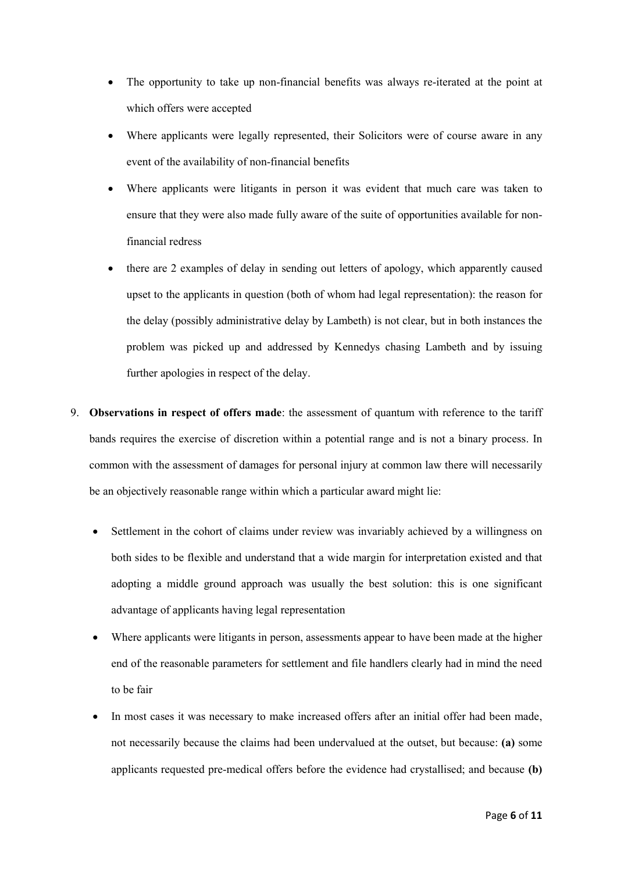- The opportunity to take up non-financial benefits was always re-iterated at the point at which offers were accepted
- Where applicants were legally represented, their Solicitors were of course aware in any event of the availability of non-financial benefits
- Where applicants were litigants in person it was evident that much care was taken to ensure that they were also made fully aware of the suite of opportunities available for nonfinancial redress
- there are 2 examples of delay in sending out letters of apology, which apparently caused upset to the applicants in question (both of whom had legal representation): the reason for the delay (possibly administrative delay by Lambeth) is not clear, but in both instances the problem was picked up and addressed by Kennedys chasing Lambeth and by issuing further apologies in respect of the delay.
- 9. **Observations in respect of offers made**: the assessment of quantum with reference to the tariff bands requires the exercise of discretion within a potential range and is not a binary process. In common with the assessment of damages for personal injury at common law there will necessarily be an objectively reasonable range within which a particular award might lie:
	- Settlement in the cohort of claims under review was invariably achieved by a willingness on both sides to be flexible and understand that a wide margin for interpretation existed and that adopting a middle ground approach was usually the best solution: this is one significant advantage of applicants having legal representation
	- Where applicants were litigants in person, assessments appear to have been made at the higher end of the reasonable parameters for settlement and file handlers clearly had in mind the need to be fair
	- In most cases it was necessary to make increased offers after an initial offer had been made, not necessarily because the claims had been undervalued at the outset, but because: **(a)** some applicants requested pre-medical offers before the evidence had crystallised; and because **(b)**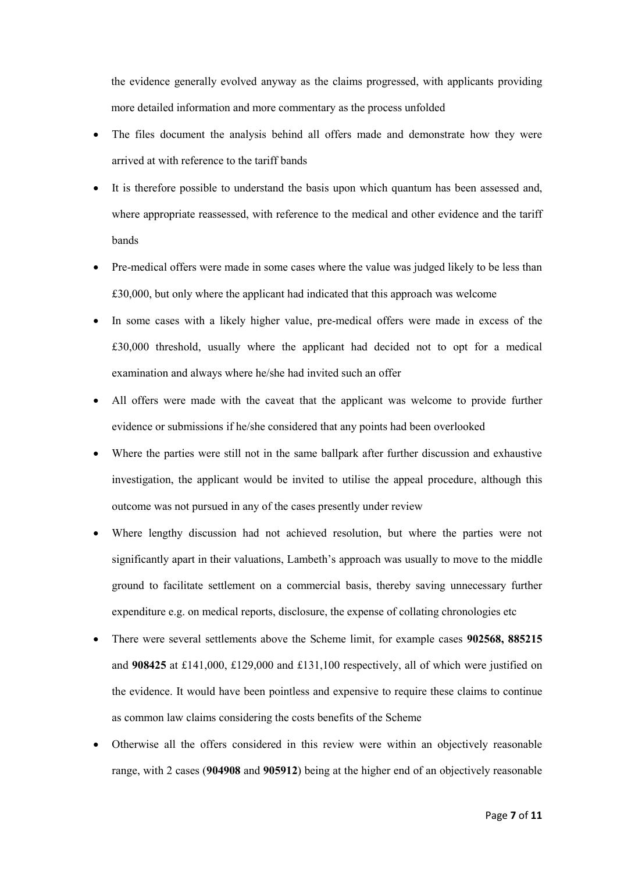the evidence generally evolved anyway as the claims progressed, with applicants providing more detailed information and more commentary as the process unfolded

- The files document the analysis behind all offers made and demonstrate how they were arrived at with reference to the tariff bands
- It is therefore possible to understand the basis upon which quantum has been assessed and, where appropriate reassessed, with reference to the medical and other evidence and the tariff bands
- Pre-medical offers were made in some cases where the value was judged likely to be less than £30,000, but only where the applicant had indicated that this approach was welcome
- In some cases with a likely higher value, pre-medical offers were made in excess of the £30,000 threshold, usually where the applicant had decided not to opt for a medical examination and always where he/she had invited such an offer
- All offers were made with the caveat that the applicant was welcome to provide further evidence or submissions if he/she considered that any points had been overlooked
- Where the parties were still not in the same ballpark after further discussion and exhaustive investigation, the applicant would be invited to utilise the appeal procedure, although this outcome was not pursued in any of the cases presently under review
- Where lengthy discussion had not achieved resolution, but where the parties were not significantly apart in their valuations, Lambeth's approach was usually to move to the middle ground to facilitate settlement on a commercial basis, thereby saving unnecessary further expenditure e.g. on medical reports, disclosure, the expense of collating chronologies etc
- There were several settlements above the Scheme limit, for example cases **902568, 885215** and **908425** at £141,000, £129,000 and £131,100 respectively, all of which were justified on the evidence. It would have been pointless and expensive to require these claims to continue as common law claims considering the costs benefits of the Scheme
- Otherwise all the offers considered in this review were within an objectively reasonable range, with 2 cases (**904908** and **905912**) being at the higher end of an objectively reasonable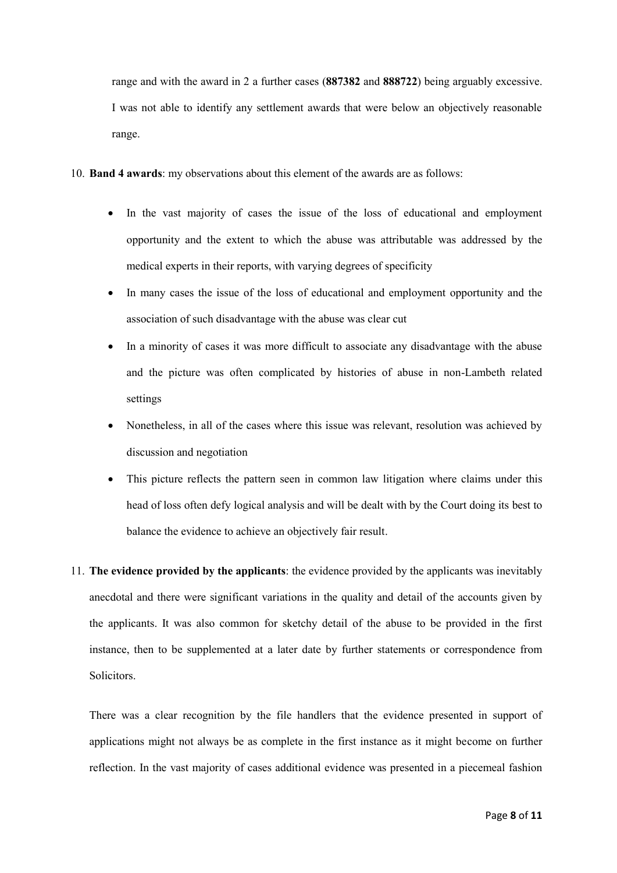range and with the award in 2 a further cases (**887382** and **888722**) being arguably excessive. I was not able to identify any settlement awards that were below an objectively reasonable range.

- 10. **Band 4 awards**: my observations about this element of the awards are as follows:
	- In the vast majority of cases the issue of the loss of educational and employment opportunity and the extent to which the abuse was attributable was addressed by the medical experts in their reports, with varying degrees of specificity
	- In many cases the issue of the loss of educational and employment opportunity and the association of such disadvantage with the abuse was clear cut
	- In a minority of cases it was more difficult to associate any disadvantage with the abuse and the picture was often complicated by histories of abuse in non-Lambeth related settings
	- Nonetheless, in all of the cases where this issue was relevant, resolution was achieved by discussion and negotiation
	- This picture reflects the pattern seen in common law litigation where claims under this head of loss often defy logical analysis and will be dealt with by the Court doing its best to balance the evidence to achieve an objectively fair result.
- 11. **The evidence provided by the applicants**: the evidence provided by the applicants was inevitably anecdotal and there were significant variations in the quality and detail of the accounts given by the applicants. It was also common for sketchy detail of the abuse to be provided in the first instance, then to be supplemented at a later date by further statements or correspondence from Solicitors.

There was a clear recognition by the file handlers that the evidence presented in support of applications might not always be as complete in the first instance as it might become on further reflection. In the vast majority of cases additional evidence was presented in a piecemeal fashion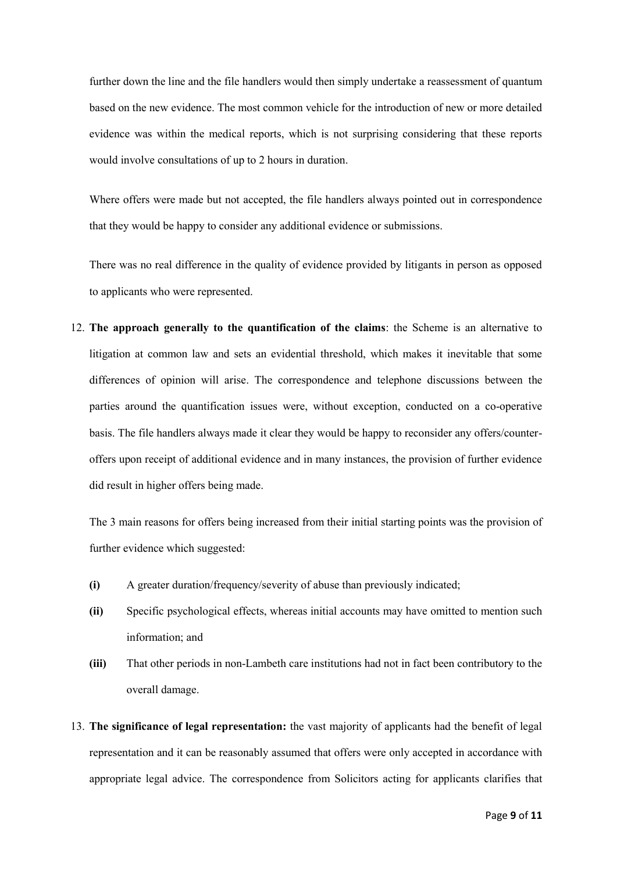further down the line and the file handlers would then simply undertake a reassessment of quantum based on the new evidence. The most common vehicle for the introduction of new or more detailed evidence was within the medical reports, which is not surprising considering that these reports would involve consultations of up to 2 hours in duration.

Where offers were made but not accepted, the file handlers always pointed out in correspondence that they would be happy to consider any additional evidence or submissions.

There was no real difference in the quality of evidence provided by litigants in person as opposed to applicants who were represented.

12. **The approach generally to the quantification of the claims**: the Scheme is an alternative to litigation at common law and sets an evidential threshold, which makes it inevitable that some differences of opinion will arise. The correspondence and telephone discussions between the parties around the quantification issues were, without exception, conducted on a co-operative basis. The file handlers always made it clear they would be happy to reconsider any offers/counteroffers upon receipt of additional evidence and in many instances, the provision of further evidence did result in higher offers being made.

The 3 main reasons for offers being increased from their initial starting points was the provision of further evidence which suggested:

- **(i)** A greater duration/frequency/severity of abuse than previously indicated;
- **(ii)** Specific psychological effects, whereas initial accounts may have omitted to mention such information; and
- **(iii)** That other periods in non-Lambeth care institutions had not in fact been contributory to the overall damage.
- 13. **The significance of legal representation:** the vast majority of applicants had the benefit of legal representation and it can be reasonably assumed that offers were only accepted in accordance with appropriate legal advice. The correspondence from Solicitors acting for applicants clarifies that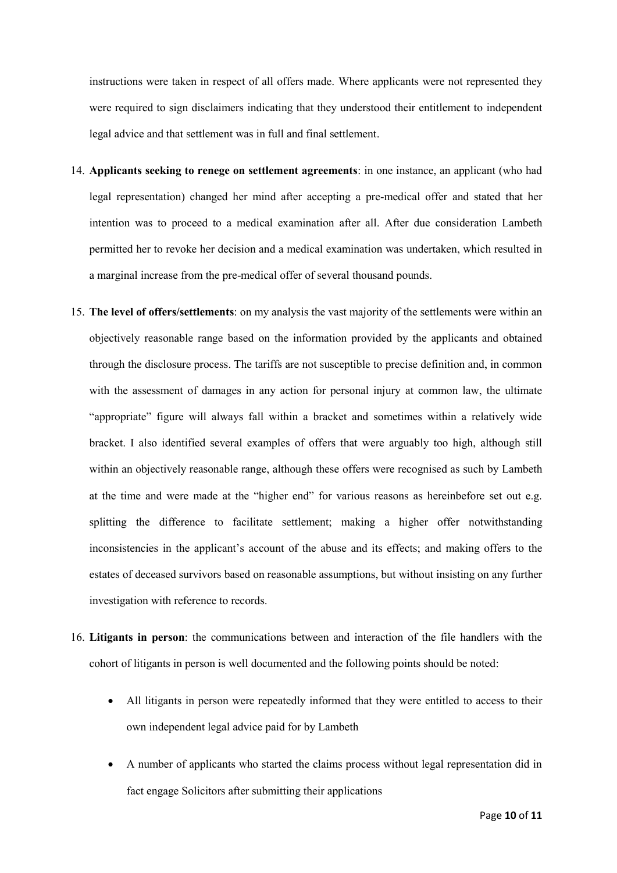instructions were taken in respect of all offers made. Where applicants were not represented they were required to sign disclaimers indicating that they understood their entitlement to independent legal advice and that settlement was in full and final settlement.

- 14. **Applicants seeking to renege on settlement agreements**: in one instance, an applicant (who had legal representation) changed her mind after accepting a pre-medical offer and stated that her intention was to proceed to a medical examination after all. After due consideration Lambeth permitted her to revoke her decision and a medical examination was undertaken, which resulted in a marginal increase from the pre-medical offer of several thousand pounds.
- 15. **The level of offers/settlements**: on my analysis the vast majority of the settlements were within an objectively reasonable range based on the information provided by the applicants and obtained through the disclosure process. The tariffs are not susceptible to precise definition and, in common with the assessment of damages in any action for personal injury at common law, the ultimate "appropriate" figure will always fall within a bracket and sometimes within a relatively wide bracket. I also identified several examples of offers that were arguably too high, although still within an objectively reasonable range, although these offers were recognised as such by Lambeth at the time and were made at the "higher end" for various reasons as hereinbefore set out e.g. splitting the difference to facilitate settlement; making a higher offer notwithstanding inconsistencies in the applicant's account of the abuse and its effects; and making offers to the estates of deceased survivors based on reasonable assumptions, but without insisting on any further investigation with reference to records.
- 16. **Litigants in person**: the communications between and interaction of the file handlers with the cohort of litigants in person is well documented and the following points should be noted:
	- All litigants in person were repeatedly informed that they were entitled to access to their own independent legal advice paid for by Lambeth
	- A number of applicants who started the claims process without legal representation did in fact engage Solicitors after submitting their applications